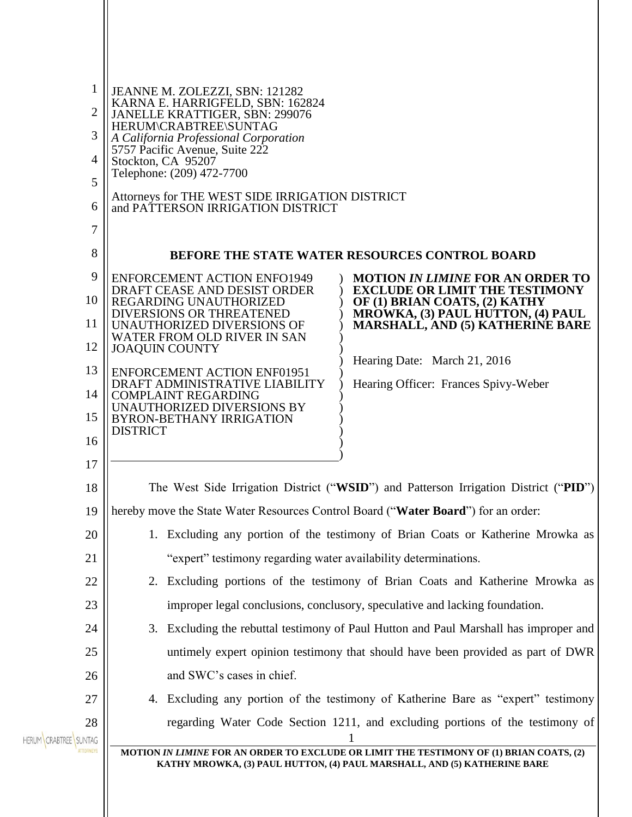| 1                     | JEANNE M. ZOLEZZI, SBN: 121282                                                       |                                                                                                                                                                     |
|-----------------------|--------------------------------------------------------------------------------------|---------------------------------------------------------------------------------------------------------------------------------------------------------------------|
| $\overline{2}$        | KARNA E. HARRIGFELD, SBN: 162824<br>JANELLE KRATTIGER, SBN: 299076                   |                                                                                                                                                                     |
| 3                     | HERUM\CRABTREE\SUNTAG<br>A California Professional Corporation                       |                                                                                                                                                                     |
| 4                     | 5757 Pacific Avenue, Suite 222<br>Stockton, CA 95207                                 |                                                                                                                                                                     |
| 5                     | Telephone: (209) 472-7700                                                            |                                                                                                                                                                     |
| 6                     | Attorneys for THE WEST SIDE IRRIGATION DISTRICT<br>and PATTERSON IRRIGATION DISTRICT |                                                                                                                                                                     |
| 7                     |                                                                                      |                                                                                                                                                                     |
| 8                     |                                                                                      | BEFORE THE STATE WATER RESOURCES CONTROL BOARD                                                                                                                      |
| 9                     | <b>ENFORCEMENT ACTION ENFO1949</b><br>DRAFT CEASE AND DESIST ORDER                   | <b>MOTION IN LIMINE FOR AN ORDER TO</b><br><b>EXCLUDE OR LIMIT THE TESTIMONY</b>                                                                                    |
| 10                    | REGARDING UNAUTHORIZED<br><b>DIVERSIONS OR THREATENED</b>                            | OF (1) BRIAN COATS, (2) KATHY<br>MROWKA, (3) PAUL HUTTON, (4) PAUL                                                                                                  |
| 11                    | UNAUTHORIZED DIVERSIONS OF<br>WATER FROM OLD RIVER IN SAN                            | <b>MARSHALL, AND (5) KATHERINE BARE</b>                                                                                                                             |
| 12                    | <b>JOAQUIN COUNTY</b>                                                                | Hearing Date: March 21, 2016                                                                                                                                        |
| 13                    | <b>ENFORCEMENT ACTION ENF01951</b><br>DRAFT ADMINISTRATIVE LIABILITY                 | Hearing Officer: Frances Spivy-Weber                                                                                                                                |
| 14                    | <b>COMPLAINT REGARDING</b><br>UNAUTHORIZED DIVERSIONS BY                             |                                                                                                                                                                     |
| 15                    | <b>BYRON-BETHANY IRRIGATION</b><br><b>DISTRICT</b>                                   |                                                                                                                                                                     |
| 16                    |                                                                                      |                                                                                                                                                                     |
| 17                    |                                                                                      |                                                                                                                                                                     |
| 18                    | The West Side Irrigation District ("WSID") and Patterson Irrigation District ("PID") |                                                                                                                                                                     |
| 19                    | hereby move the State Water Resources Control Board ("Water Board") for an order:    |                                                                                                                                                                     |
| 20                    |                                                                                      | 1. Excluding any portion of the testimony of Brian Coats or Katherine Mrowka as                                                                                     |
| 21                    | "expert" testimony regarding water availability determinations.                      |                                                                                                                                                                     |
| 22<br>23              |                                                                                      | 2. Excluding portions of the testimony of Brian Coats and Katherine Mrowka as<br>improper legal conclusions, conclusory, speculative and lacking foundation.        |
| 24                    | 3.                                                                                   | Excluding the rebuttal testimony of Paul Hutton and Paul Marshall has improper and                                                                                  |
| 25                    |                                                                                      | untimely expert opinion testimony that should have been provided as part of DWR                                                                                     |
| 26                    | and SWC's cases in chief.                                                            |                                                                                                                                                                     |
| 27                    |                                                                                      | 4. Excluding any portion of the testimony of Katherine Bare as "expert" testimony                                                                                   |
| 28                    |                                                                                      | regarding Water Code Section 1211, and excluding portions of the testimony of                                                                                       |
| HERUM CRABTREE SUNTAG |                                                                                      |                                                                                                                                                                     |
|                       |                                                                                      | MOTION IN LIMINE FOR AN ORDER TO EXCLUDE OR LIMIT THE TESTIMONY OF (1) BRIAN COATS, (2)<br>KATHY MROWKA, (3) PAUL HUTTON, (4) PAUL MARSHALL, AND (5) KATHERINE BARE |
|                       |                                                                                      |                                                                                                                                                                     |
|                       |                                                                                      |                                                                                                                                                                     |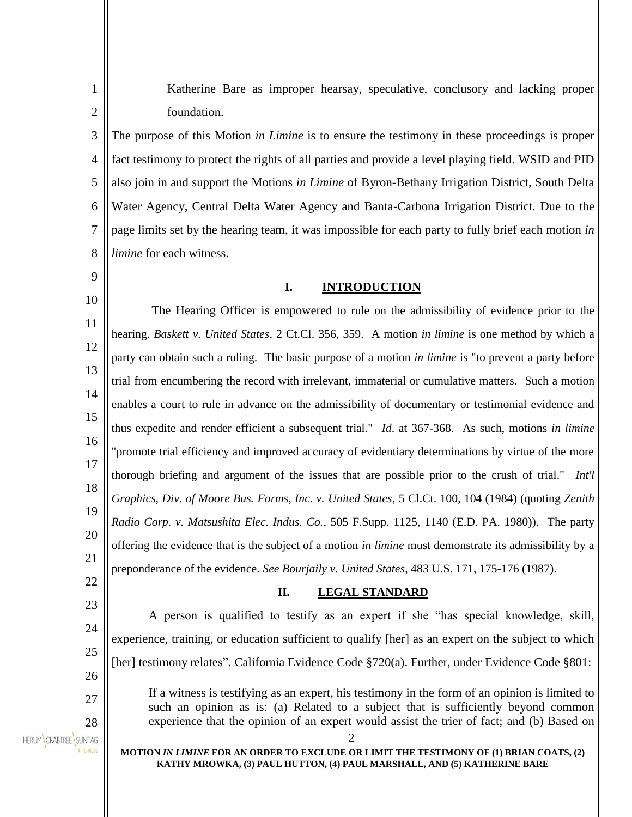Katherine Bare as improper hearsay, speculative, conclusory and lacking proper foundation.

3 4 5 6 7 8 The purpose of this Motion *in Limine* is to ensure the testimony in these proceedings is proper fact testimony to protect the rights of all parties and provide a level playing field. WSID and PID also join in and support the Motions *in Limine* of Byron-Bethany Irrigation District, South Delta Water Agency, Central Delta Water Agency and Banta-Carbona Irrigation District. Due to the page limits set by the hearing team, it was impossible for each party to fully brief each motion *in limine* for each witness.

# 9 10

22

1

2

#### **I. INTRODUCTION**

11 12 13 14 15 16 17 18 19 20 21 The Hearing Officer is empowered to rule on the admissibility of evidence prior to the hearing. *Baskett v. United States*, 2 Ct.Cl. 356, 359. A motion *in limine* is one method by which a party can obtain such a ruling. The basic purpose of a motion *in limine* is "to prevent a party before trial from encumbering the record with irrelevant, immaterial or cumulative matters. Such a motion enables a court to rule in advance on the admissibility of documentary or testimonial evidence and thus expedite and render efficient a subsequent trial." *Id*. at 367-368. As such, motions *in limine*  "promote trial efficiency and improved accuracy of evidentiary determinations by virtue of the more thorough briefing and argument of the issues that are possible prior to the crush of trial." *Int'l Graphics, Div. of Moore Bus. Forms, Inc. v. United States*, 5 Cl.Ct. 100, 104 (1984) (quoting *Zenith Radio Corp. v. Matsushita Elec. Indus. Co.*, 505 F.Supp. 1125, 1140 (E.D. PA. 1980)). The party offering the evidence that is the subject of a motion *in limine* must demonstrate its admissibility by a preponderance of the evidence. *See Bourjaily v. United States*, 483 U.S. 171, 175-176 (1987).

### **II. LEGAL STANDARD**

23 A person is qualified to testify as an expert if she "has special knowledge, skill, 24 experience, training, or education sufficient to qualify [her] as an expert on the subject to which 25 [her] testimony relates". California Evidence Code §720(a). Further, under Evidence Code §801: 26 If a witness is testifying as an expert, his testimony in the form of an opinion is limited to 27 such an opinion as is: (a) Related to a subject that is sufficiently beyond common experience that the opinion of an expert would assist the trier of fact; and (b) Based on 28 HERUM CRABTREE SUNTAG 2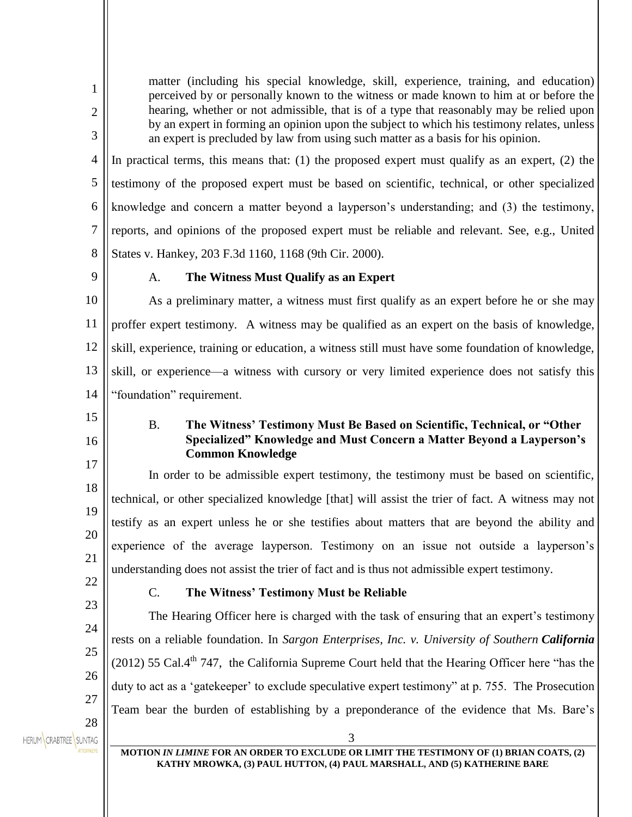matter (including his special knowledge, skill, experience, training, and education) perceived by or personally known to the witness or made known to him at or before the hearing, whether or not admissible, that is of a type that reasonably may be relied upon by an expert in forming an opinion upon the subject to which his testimony relates, unless an expert is precluded by law from using such matter as a basis for his opinion.

4 5 6 7 8 In practical terms, this means that: (1) the proposed expert must qualify as an expert, (2) the testimony of the proposed expert must be based on scientific, technical, or other specialized knowledge and concern a matter beyond a layperson's understanding; and (3) the testimony, reports, and opinions of the proposed expert must be reliable and relevant. See, e.g., United States v. Hankey, 203 F.3d 1160, 1168 (9th Cir. 2000).

9

1

2

3

## A. **The Witness Must Qualify as an Expert**

10 11 12 13 14 As a preliminary matter, a witness must first qualify as an expert before he or she may proffer expert testimony. A witness may be qualified as an expert on the basis of knowledge, skill, experience, training or education, a witness still must have some foundation of knowledge, skill, or experience—a witness with cursory or very limited experience does not satisfy this "foundation" requirement.

15 16

17

18

B. **The Witness' Testimony Must Be Based on Scientific, Technical, or "Other Specialized" Knowledge and Must Concern a Matter Beyond a Layperson's Common Knowledge**

19 20 In order to be admissible expert testimony, the testimony must be based on scientific, technical, or other specialized knowledge [that] will assist the trier of fact. A witness may not testify as an expert unless he or she testifies about matters that are beyond the ability and experience of the average layperson. Testimony on an issue not outside a layperson's understanding does not assist the trier of fact and is thus not admissible expert testimony.

22 23

24

25

26

27

21

# C. **The Witness' Testimony Must be Reliable**

The Hearing Officer here is charged with the task of ensuring that an expert's testimony rests on a reliable foundation. In *Sargon Enterprises, Inc. v. University of Southern California*  (2012) 55 Cal.4<sup>th</sup> 747, the California Supreme Court held that the Hearing Officer here "has the duty to act as a 'gatekeeper' to exclude speculative expert testimony" at p. 755. The Prosecution Team bear the burden of establishing by a preponderance of the evidence that Ms. Bare's

28 HERUM CRABTREE SUNTAG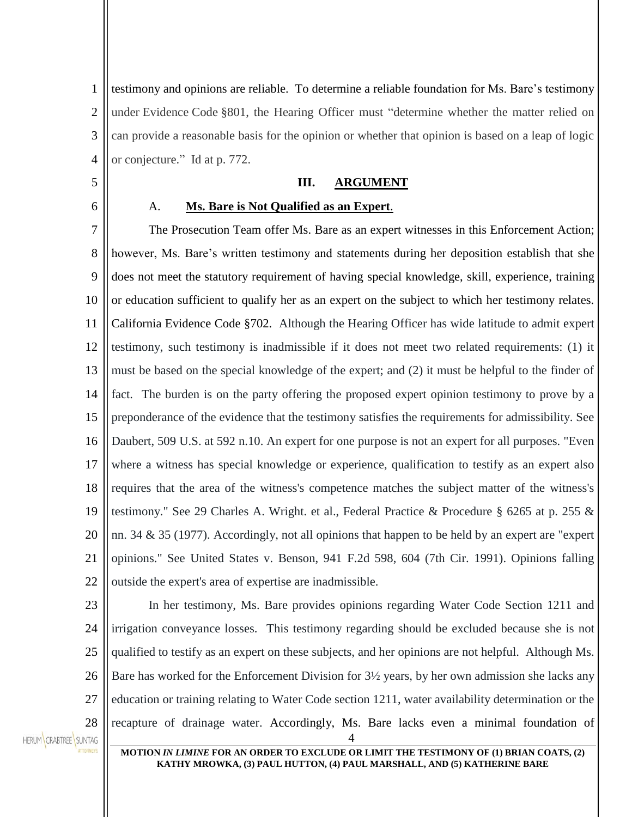1 2 3 4 testimony and opinions are reliable. To determine a reliable foundation for Ms. Bare's testimony under Evidence Code §801, the Hearing Officer must "determine whether the matter relied on can provide a reasonable basis for the opinion or whether that opinion is based on a leap of logic or conjecture." Id at p. 772.

### **III. ARGUMENT**

6

5

# A. **Ms. Bare is Not Qualified as an Expert**.

7 8 9 10 11 12 13 14 15 16 17 18 19 20 21 22 The Prosecution Team offer Ms. Bare as an expert witnesses in this Enforcement Action; however, Ms. Bare's written testimony and statements during her deposition establish that she does not meet the statutory requirement of having special knowledge, skill, experience, training or education sufficient to qualify her as an expert on the subject to which her testimony relates. California Evidence Code §702. Although the Hearing Officer has wide latitude to admit expert testimony, such testimony is inadmissible if it does not meet two related requirements: (1) it must be based on the special knowledge of the expert; and (2) it must be helpful to the finder of fact. The burden is on the party offering the proposed expert opinion testimony to prove by a preponderance of the evidence that the testimony satisfies the requirements for admissibility. See Daubert, 509 U.S. at 592 n.10. An expert for one purpose is not an expert for all purposes. "Even where a witness has special knowledge or experience, qualification to testify as an expert also requires that the area of the witness's competence matches the subject matter of the witness's testimony." See 29 Charles A. Wright. et al., Federal Practice & Procedure § 6265 at p. 255 & nn. 34 & 35 (1977). Accordingly, not all opinions that happen to be held by an expert are "expert opinions." See United States v. Benson, 941 F.2d 598, 604 (7th Cir. 1991). Opinions falling outside the expert's area of expertise are inadmissible.

23 24

4 25 26 27 28 In her testimony, Ms. Bare provides opinions regarding Water Code Section 1211 and irrigation conveyance losses. This testimony regarding should be excluded because she is not qualified to testify as an expert on these subjects, and her opinions are not helpful. Although Ms. Bare has worked for the Enforcement Division for  $3\frac{1}{2}$  years, by her own admission she lacks any education or training relating to Water Code section 1211, water availability determination or the recapture of drainage water. Accordingly, Ms. Bare lacks even a minimal foundation of

HERUM CRABTREE SUNTAG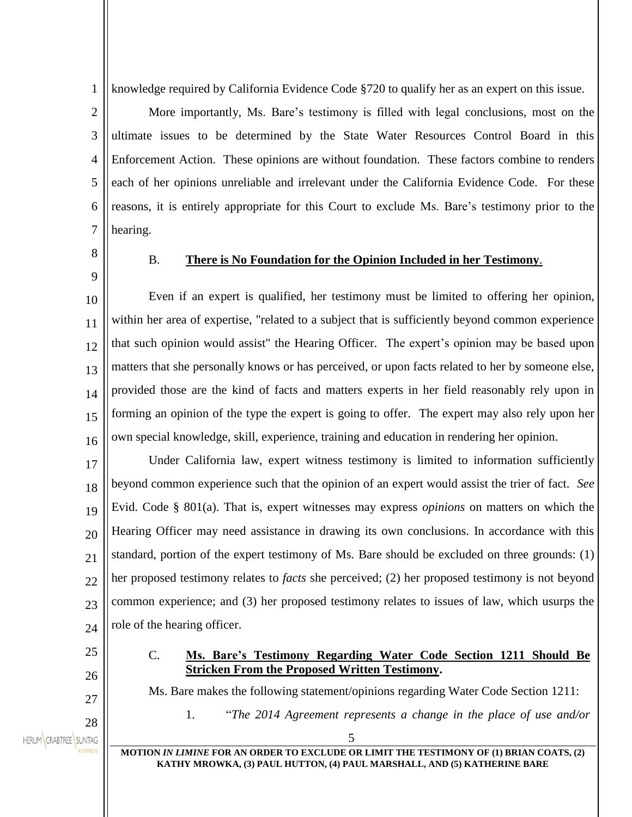1 knowledge required by California Evidence Code §720 to qualify her as an expert on this issue.

2 3 4 5 6 7 More importantly, Ms. Bare's testimony is filled with legal conclusions, most on the ultimate issues to be determined by the State Water Resources Control Board in this Enforcement Action. These opinions are without foundation. These factors combine to renders each of her opinions unreliable and irrelevant under the California Evidence Code. For these reasons, it is entirely appropriate for this Court to exclude Ms. Bare's testimony prior to the hearing.

8 9

#### B. **There is No Foundation for the Opinion Included in her Testimony**.

10 11 12 13 14 15 16 Even if an expert is qualified, her testimony must be limited to offering her opinion, within her area of expertise, "related to a subject that is sufficiently beyond common experience that such opinion would assist" the Hearing Officer. The expert's opinion may be based upon matters that she personally knows or has perceived, or upon facts related to her by someone else, provided those are the kind of facts and matters experts in her field reasonably rely upon in forming an opinion of the type the expert is going to offer. The expert may also rely upon her own special knowledge, skill, experience, training and education in rendering her opinion.

17 18 19 20 21  $22$ 23 24 Under California law, expert witness testimony is limited to information sufficiently beyond common experience such that the opinion of an expert would assist the trier of fact. *See* Evid. Code § 801(a). That is, expert witnesses may express *opinions* on matters on which the Hearing Officer may need assistance in drawing its own conclusions. In accordance with this standard, portion of the expert testimony of Ms. Bare should be excluded on three grounds: (1) her proposed testimony relates to *facts* she perceived; (2) her proposed testimony is not beyond common experience; and (3) her proposed testimony relates to issues of law, which usurps the role of the hearing officer.

25

26

27

28

# C. **Ms. Bare's Testimony Regarding Water Code Section 1211 Should Be Stricken From the Proposed Written Testimony.**

Ms. Bare makes the following statement/opinions regarding Water Code Section 1211:

1. "*The 2014 Agreement represents a change in the place of use and/or* 

HERUM CRABTREE SUNTAG

5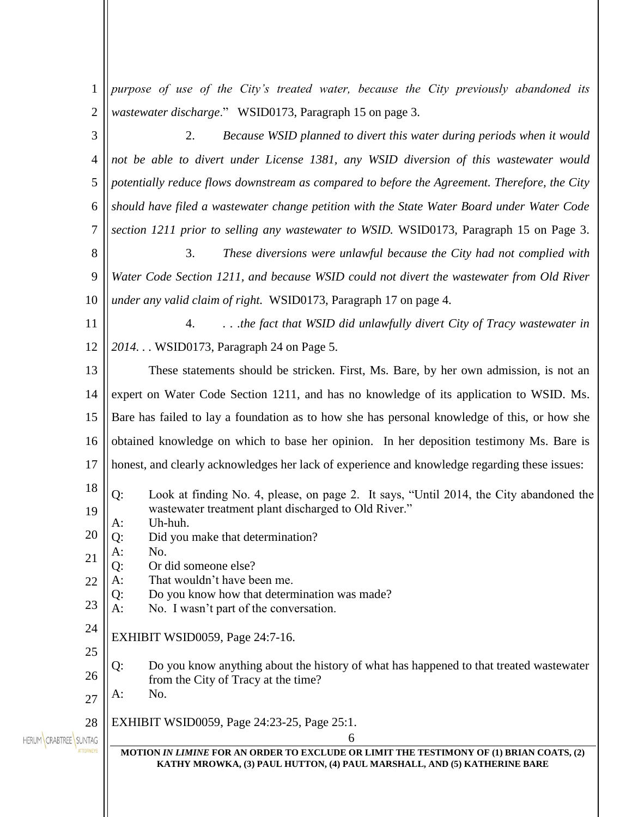| 1              | purpose of use of the City's treated water, because the City previously abandoned its                                               |  |
|----------------|-------------------------------------------------------------------------------------------------------------------------------------|--|
| $\overline{c}$ | wastewater discharge." WSID0173, Paragraph 15 on page 3.                                                                            |  |
| 3              | 2.<br>Because WSID planned to divert this water during periods when it would                                                        |  |
| 4              | not be able to divert under License 1381, any WSID diversion of this wastewater would                                               |  |
| 5              | potentially reduce flows downstream as compared to before the Agreement. Therefore, the City                                        |  |
| 6              | should have filed a wastewater change petition with the State Water Board under Water Code                                          |  |
| 7              | section 1211 prior to selling any wastewater to WSID. WSID0173, Paragraph 15 on Page 3.                                             |  |
| 8              | 3.<br>These diversions were unlawful because the City had not complied with                                                         |  |
| 9              | Water Code Section 1211, and because WSID could not divert the wastewater from Old River                                            |  |
| 10             | under any valid claim of right. WSID0173, Paragraph 17 on page 4.                                                                   |  |
| 11             | the fact that WSID did unlawfully divert City of Tracy wastewater in<br>4.                                                          |  |
| 12             | 2014. WSID0173, Paragraph 24 on Page 5.                                                                                             |  |
| 13             | These statements should be stricken. First, Ms. Bare, by her own admission, is not an                                               |  |
| 14             | expert on Water Code Section 1211, and has no knowledge of its application to WSID. Ms.                                             |  |
| 15             | Bare has failed to lay a foundation as to how she has personal knowledge of this, or how she                                        |  |
| 16             | obtained knowledge on which to base her opinion. In her deposition testimony Ms. Bare is                                            |  |
| 17             | honest, and clearly acknowledges her lack of experience and knowledge regarding these issues:                                       |  |
| 18             | Q:<br>Look at finding No. 4, please, on page 2. It says, "Until 2014, the City abandoned the                                        |  |
| 19             | wastewater treatment plant discharged to Old River."<br>Uh-huh.                                                                     |  |
| 20             | A:<br>Did you make that determination?<br>Q:                                                                                        |  |
| 21             | No.<br>A:<br>Or did someone else?<br>Q:                                                                                             |  |
| 22             | That wouldn't have been me.<br>A:                                                                                                   |  |
| 23             | Do you know how that determination was made?<br>Q:<br>A:<br>No. I wasn't part of the conversation.                                  |  |
| 24             | EXHIBIT WSID0059, Page 24:7-16.                                                                                                     |  |
| 25             |                                                                                                                                     |  |
| 26             | Do you know anything about the history of what has happened to that treated wastewater<br>Q:<br>from the City of Tracy at the time? |  |
| 27             | No.<br>A:                                                                                                                           |  |
| 28             | EXHIBIT WSID0059, Page 24:23-25, Page 25:1.                                                                                         |  |
| SUNTAG         | 6<br>MOTION IN LIMINE FOR AN ORDER TO EXCLUDE OR LIMIT THE TESTIMONY OF (1) BRIAN COATS, (2)                                        |  |
|                | KATHY MROWKA, (3) PAUL HUTTON, (4) PAUL MARSHALL, AND (5) KATHERINE BARE                                                            |  |
|                |                                                                                                                                     |  |
|                |                                                                                                                                     |  |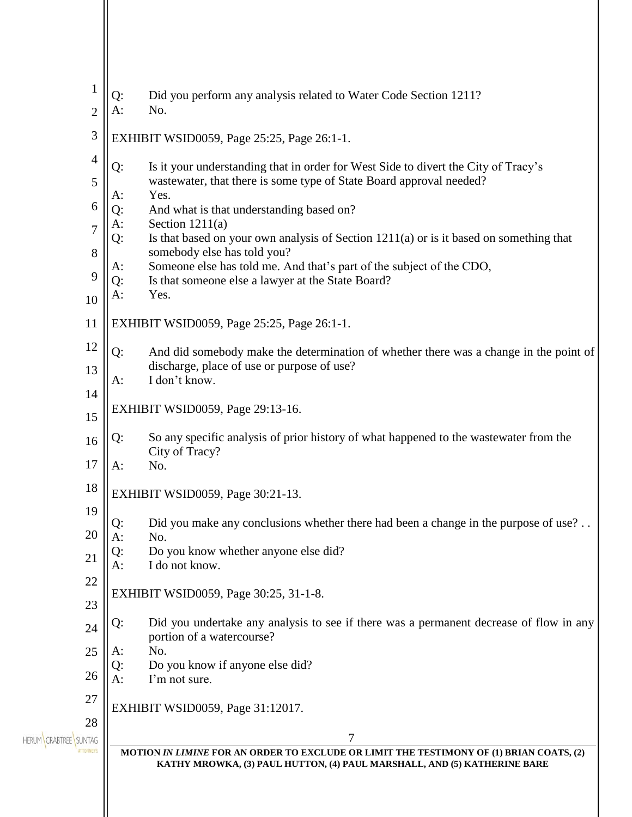| $\mathbf{1}$<br>$\overline{2}$                                                           | Did you perform any analysis related to Water Code Section 1211?<br>Q:<br>$A$ :<br>No.                                                                                                                                                                                                                                                                                                                                                                                                                                                                                                                                                                                                                                                                                                                         |  |
|------------------------------------------------------------------------------------------|----------------------------------------------------------------------------------------------------------------------------------------------------------------------------------------------------------------------------------------------------------------------------------------------------------------------------------------------------------------------------------------------------------------------------------------------------------------------------------------------------------------------------------------------------------------------------------------------------------------------------------------------------------------------------------------------------------------------------------------------------------------------------------------------------------------|--|
| 3                                                                                        | EXHIBIT WSID0059, Page 25:25, Page 26:1-1.                                                                                                                                                                                                                                                                                                                                                                                                                                                                                                                                                                                                                                                                                                                                                                     |  |
| $\overline{4}$<br>5<br>6<br>$\overline{7}$<br>8<br>9<br>10<br>11<br>12<br>13<br>14<br>15 | Is it your understanding that in order for West Side to divert the City of Tracy's<br>Q:<br>wastewater, that there is some type of State Board approval needed?<br>Yes.<br>A:<br>Q:<br>And what is that understanding based on?<br>Section $1211(a)$<br>A:<br>Is that based on your own analysis of Section $1211(a)$ or is it based on something that<br>Q:<br>somebody else has told you?<br>Someone else has told me. And that's part of the subject of the CDO,<br>A:<br>Is that someone else a lawyer at the State Board?<br>Q:<br>$A$ :<br>Yes.<br>EXHIBIT WSID0059, Page 25:25, Page 26:1-1.<br>Q:<br>And did somebody make the determination of whether there was a change in the point of<br>discharge, place of use or purpose of use?<br>I don't know.<br>$A$ :<br>EXHIBIT WSID0059, Page 29:13-16. |  |
| 16                                                                                       | So any specific analysis of prior history of what happened to the was tewater from the<br>Q:<br>City of Tracy?                                                                                                                                                                                                                                                                                                                                                                                                                                                                                                                                                                                                                                                                                                 |  |
| 17                                                                                       | $A$ :<br>No.                                                                                                                                                                                                                                                                                                                                                                                                                                                                                                                                                                                                                                                                                                                                                                                                   |  |
| 18                                                                                       | EXHIBIT WSID0059, Page 30:21-13.                                                                                                                                                                                                                                                                                                                                                                                                                                                                                                                                                                                                                                                                                                                                                                               |  |
| 19<br>20                                                                                 | Did you make any conclusions whether there had been a change in the purpose of use?<br>Q:                                                                                                                                                                                                                                                                                                                                                                                                                                                                                                                                                                                                                                                                                                                      |  |
| 21                                                                                       | $A$ :<br>No.<br>Do you know whether anyone else did?<br>Q:                                                                                                                                                                                                                                                                                                                                                                                                                                                                                                                                                                                                                                                                                                                                                     |  |
| 22                                                                                       | I do not know.<br>A:                                                                                                                                                                                                                                                                                                                                                                                                                                                                                                                                                                                                                                                                                                                                                                                           |  |
| 23                                                                                       | EXHIBIT WSID0059, Page 30:25, 31-1-8.                                                                                                                                                                                                                                                                                                                                                                                                                                                                                                                                                                                                                                                                                                                                                                          |  |
| 24                                                                                       | Did you undertake any analysis to see if there was a permanent decrease of flow in any<br>Q:<br>portion of a watercourse?                                                                                                                                                                                                                                                                                                                                                                                                                                                                                                                                                                                                                                                                                      |  |
| 25                                                                                       | No.<br>A:<br>Do you know if anyone else did?<br>Q:                                                                                                                                                                                                                                                                                                                                                                                                                                                                                                                                                                                                                                                                                                                                                             |  |
| 26                                                                                       | A:<br>I'm not sure.                                                                                                                                                                                                                                                                                                                                                                                                                                                                                                                                                                                                                                                                                                                                                                                            |  |
| 27                                                                                       | EXHIBIT WSID0059, Page 31:12017.                                                                                                                                                                                                                                                                                                                                                                                                                                                                                                                                                                                                                                                                                                                                                                               |  |
| 28<br><b>SUNTAG</b>                                                                      | 7<br>MOTION IN LIMINE FOR AN ORDER TO EXCLUDE OR LIMIT THE TESTIMONY OF (1) BRIAN COATS, (2)<br>KATHY MROWKA, (3) PAUL HUTTON, (4) PAUL MARSHALL, AND (5) KATHERINE BARE                                                                                                                                                                                                                                                                                                                                                                                                                                                                                                                                                                                                                                       |  |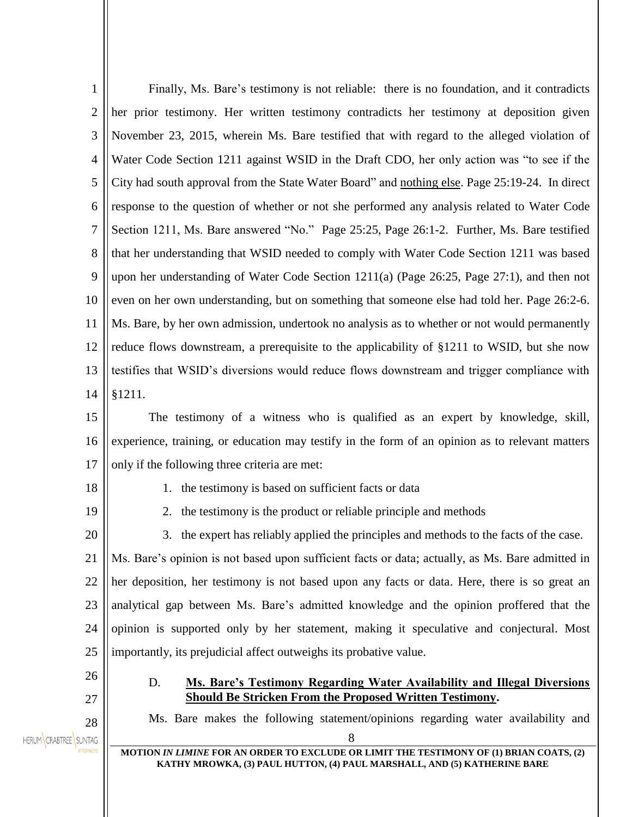| $\mathbf{1}$          | Finally, Ms. Bare's testimony is not reliable: there is no foundation, and it contradicts                                                                                                           |  |
|-----------------------|-----------------------------------------------------------------------------------------------------------------------------------------------------------------------------------------------------|--|
| $\overline{2}$        | her prior testimony. Her written testimony contradicts her testimony at deposition given                                                                                                            |  |
| 3                     | November 23, 2015, wherein Ms. Bare testified that with regard to the alleged violation of                                                                                                          |  |
| $\overline{4}$        | Water Code Section 1211 against WSID in the Draft CDO, her only action was "to see if the                                                                                                           |  |
| 5                     | City had south approval from the State Water Board" and nothing else. Page 25:19-24. In direct                                                                                                      |  |
| 6                     | response to the question of whether or not she performed any analysis related to Water Code                                                                                                         |  |
| 7                     | Section 1211, Ms. Bare answered "No." Page 25:25, Page 26:1-2. Further, Ms. Bare testified                                                                                                          |  |
| 8                     | that her understanding that WSID needed to comply with Water Code Section 1211 was based                                                                                                            |  |
| 9                     | upon her understanding of Water Code Section 1211(a) (Page 26:25, Page 27:1), and then not                                                                                                          |  |
| 10                    | even on her own understanding, but on something that someone else had told her. Page 26:2-6.                                                                                                        |  |
| 11                    | Ms. Bare, by her own admission, undertook no analysis as to whether or not would permanently                                                                                                        |  |
| 12                    | reduce flows downstream, a prerequisite to the applicability of §1211 to WSID, but she now                                                                                                          |  |
| 13                    | testifies that WSID's diversions would reduce flows downstream and trigger compliance with                                                                                                          |  |
| 14                    | §1211.                                                                                                                                                                                              |  |
| 15                    | The testimony of a witness who is qualified as an expert by knowledge, skill,                                                                                                                       |  |
| 16                    | experience, training, or education may testify in the form of an opinion as to relevant matters                                                                                                     |  |
| 17                    | only if the following three criteria are met:                                                                                                                                                       |  |
| 18                    | 1. the testimony is based on sufficient facts or data                                                                                                                                               |  |
| 19                    | 2. the testimony is the product or reliable principle and methods                                                                                                                                   |  |
| 20                    | 3. the expert has reliably applied the principles and methods to the facts of the case.                                                                                                             |  |
| 21                    | Ms. Bare's opinion is not based upon sufficient facts or data; actually, as Ms. Bare admitted in                                                                                                    |  |
| 22                    | her deposition, her testimony is not based upon any facts or data. Here, there is so great an                                                                                                       |  |
| 23                    | analytical gap between Ms. Bare's admitted knowledge and the opinion proffered that the                                                                                                             |  |
| 24                    | opinion is supported only by her statement, making it speculative and conjectural. Most                                                                                                             |  |
| 25                    | importantly, its prejudicial affect outweighs its probative value.                                                                                                                                  |  |
| 26                    | <b>Ms. Bare's Testimony Regarding Water Availability and Illegal Diversions</b><br>D.                                                                                                               |  |
| 27                    | <b>Should Be Stricken From the Proposed Written Testimony.</b>                                                                                                                                      |  |
| 28                    | Ms. Bare makes the following statement/opinions regarding water availability and<br>8<br><b>TTORNEYS</b><br>MOTION IN LIMINE FOR AN ORDER TO EXCLUDE OR LIMIT THE TESTIMONY OF (1) BRIAN COATS, (2) |  |
| HERUM CRABTREE SUNTAG |                                                                                                                                                                                                     |  |
|                       | KATHY MROWKA, (3) PAUL HUTTON, (4) PAUL MARSHALL, AND (5) KATHERINE BARE                                                                                                                            |  |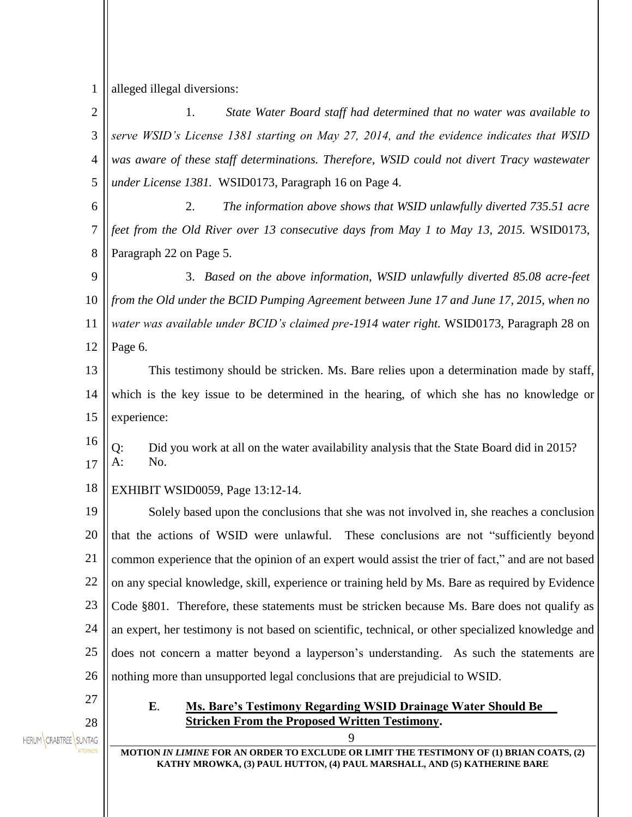1 alleged illegal diversions:

2 1. *State Water Board staff had determined that no water was available to*  3 *serve WSID's License 1381 starting on May 27, 2014, and the evidence indicates that WSID*  4 *was aware of these staff determinations. Therefore, WSID could not divert Tracy wastewater under License 1381.* WSID0173, Paragraph 16 on Page 4. 5 2. *The information above shows that WSID unlawfully diverted 735.51 acre*  6 7 *feet from the Old River over 13 consecutive days from May 1 to May 13, 2015.* WSID0173, 8 Paragraph 22 on Page 5. 9 3. *Based on the above information, WSID unlawfully diverted 85.08 acre-feet*  10 *from the Old under the BCID Pumping Agreement between June 17 and June 17, 2015, when no*  11 *water was available under BCID's claimed pre-1914 water right.* WSID0173, Paragraph 28 on 12 Page 6. 13 This testimony should be stricken. Ms. Bare relies upon a determination made by staff, which is the key issue to be determined in the hearing, of which she has no knowledge or 14 15 experience: 16 Q: Did you work at all on the water availability analysis that the State Board did in 2015?  $A:$  No. 17 18 EXHIBIT WSID0059, Page 13:12-14. 19 Solely based upon the conclusions that she was not involved in, she reaches a conclusion 20 that the actions of WSID were unlawful. These conclusions are not "sufficiently beyond 21 common experience that the opinion of an expert would assist the trier of fact," and are not based 22 on any special knowledge, skill, experience or training held by Ms. Bare as required by Evidence 23 Code §801. Therefore, these statements must be stricken because Ms. Bare does not qualify as 24 an expert, her testimony is not based on scientific, technical, or other specialized knowledge and 25 does not concern a matter beyond a layperson's understanding. As such the statements are 26 nothing more than unsupported legal conclusions that are prejudicial to WSID. 27 **E**. **Ms. Bare's Testimony Regarding WSID Drainage Water Should Be Stricken From the Proposed Written Testimony.** 28 HERUM CRABTREE SUNTAG  $\Omega$ **MOTION** *IN LIMINE* **FOR AN ORDER TO EXCLUDE OR LIMIT THE TESTIMONY OF (1) BRIAN COATS, (2) KATHY MROWKA, (3) PAUL HUTTON, (4) PAUL MARSHALL, AND (5) KATHERINE BARE**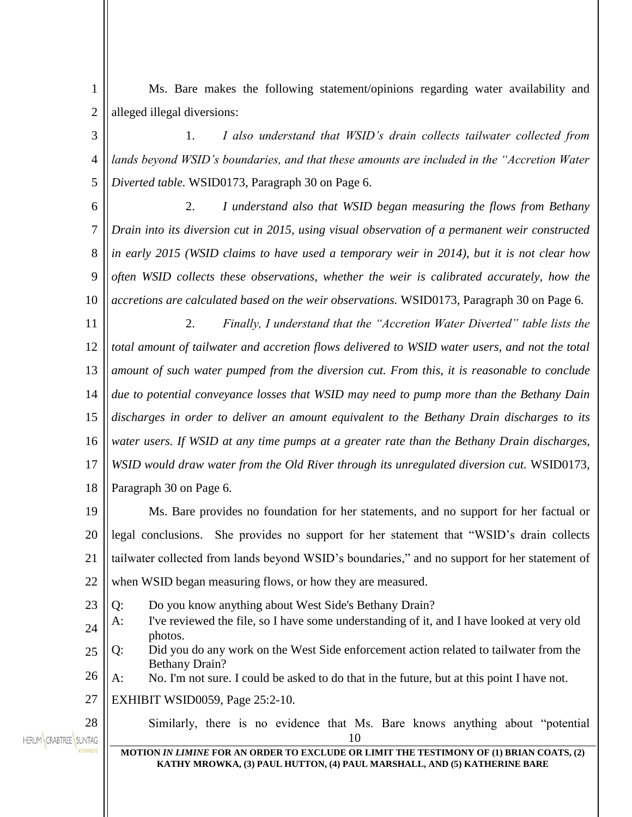1 2 Ms. Bare makes the following statement/opinions regarding water availability and alleged illegal diversions:

3 4 5 1. *I also understand that WSID's drain collects tailwater collected from lands beyond WSID's boundaries, and that these amounts are included in the "Accretion Water Diverted table.* WSID0173, Paragraph 30 on Page 6.

6 7 8 9 10 2. *I understand also that WSID began measuring the flows from Bethany Drain into its diversion cut in 2015, using visual observation of a permanent weir constructed in early 2015 (WSID claims to have used a temporary weir in 2014), but it is not clear how often WSID collects these observations, whether the weir is calibrated accurately, how the accretions are calculated based on the weir observations.* WSID0173, Paragraph 30 on Page 6.

11 12 13 14 15 16 17 18 2. *Finally, I understand that the "Accretion Water Diverted" table lists the total amount of tailwater and accretion flows delivered to WSID water users, and not the total amount of such water pumped from the diversion cut. From this, it is reasonable to conclude due to potential conveyance losses that WSID may need to pump more than the Bethany Dain discharges in order to deliver an amount equivalent to the Bethany Drain discharges to its water users. If WSID at any time pumps at a greater rate than the Bethany Drain discharges,*  WSID would draw water from the Old River through its unregulated diversion cut. WSID0173, Paragraph 30 on Page 6.

19 20 21  $22$ Ms. Bare provides no foundation for her statements, and no support for her factual or legal conclusions. She provides no support for her statement that "WSID's drain collects tailwater collected from lands beyond WSID's boundaries," and no support for her statement of when WSID began measuring flows, or how they are measured.

23 Q: Do you know anything about West Side's Bethany Drain?

- 24 A: I've reviewed the file, so I have some understanding of it, and I have looked at very old photos.
- 25 Q: Did you do any work on the West Side enforcement action related to tailwater from the Bethany Drain?
- 26 A: No. I'm not sure. I could be asked to do that in the future, but at this point I have not.

27 EXHIBIT WSID0059, Page 25:2-10.

HERUM CRABTREE SUNTAG

28

10 Similarly, there is no evidence that Ms. Bare knows anything about "potential